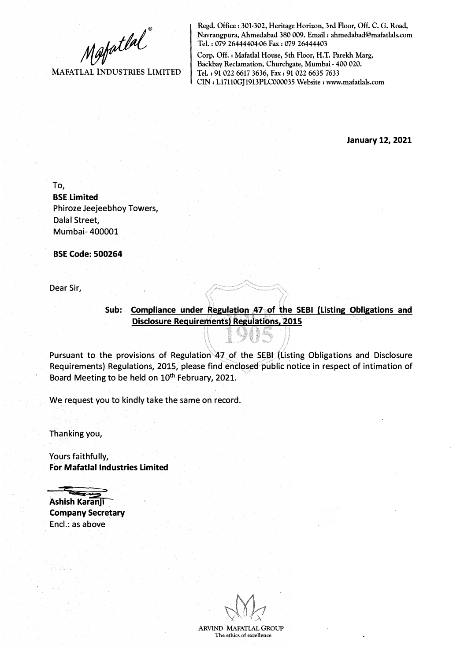**MAFATLAL INDUSTRIES LIMITED** 

**Regd. Office: 301-302, Heritage Horizon, 3rd Floor, Off. C. G. Road, Navrangpura, Ahmedabad 380 009. Email : ahmedabad@mafatlals.com Tel. : 079 26444404-06 Fax : 079 26444403** 

**Corp. Off.: Mafatlal House, 5th Floor, H.T. Parekh Marg,**  Backbay Reclamation, Churchgate, Mumbai - 400 020. **Tel.: 91 022 6617 3636, Fax: 91 022 6635 7633 CIN: Ll7110GJ1913PLC000035 Website: www.mafatlals.com** 

**January 12, 2021** 

To, **BSE Limited**  Phiroze Jeejeebhoy Towers, Dalal Street, Mumbai- 400001

**BSE Code: 500264** 

Dear Sir,

**Sub:** Compliance under Regulation 47: of the SEBI (Listing Obligations and **Disclosure Requirements) Regulations, 2015** 

Pursuant to the provisions of Regulation 47 of the SEBI (Listing Obligations and Disclosure Requirements) Regulations, 2015, please find ehdosed public notice in respect of intimation of Board Meeting to be held on 10<sup>th</sup> February, 2021.

We request you to kindly take the same on record.

Thanking you,

Yours faithfully, **For Mafatlal Industries Limited** 

**Ashish Karanji Company Secretary**  Encl.: as above

**ARVIND MAFATLAL GROUP The ethics of excellence**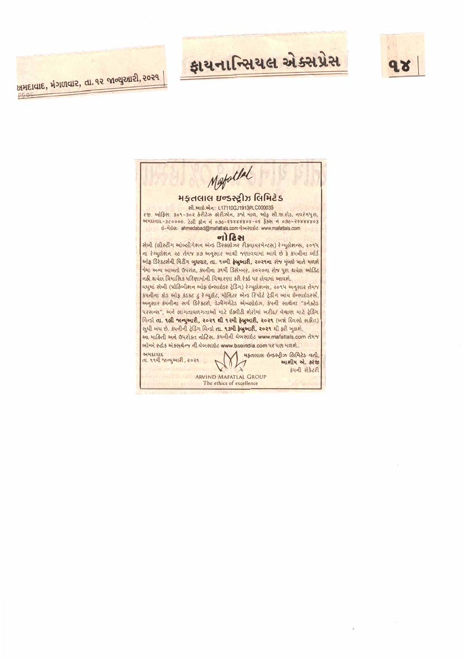

## ફાયનાન્સિયલ એક્સપ્રેસ

પ્રમદાવાદ, મંગળવાર, તા. ૧૨ જાન્યુઆરી, ૨૦૨૧

 $0.04$ 

Mestallal મફતલાલ ઇન્ડસ્ટ્રીઝ લિમિટેડ સી.આઇ.એન: L17110GJ1913PLC000035 <u>રજી. અોફિસ: ૩૦૧-૩૦૨ કેરીટેઝ કોરીઝોન, ૩જો માળ, ઓફ સી.જી.રોડ, નવરંગપુરા, </u> <u>2446198-360006. Ical pla a 096-25888808-05 \$521 a 096-25888803</u> ย์-น่ย์ต. ahmedabad@mafatlals.com doveuse: www.mafatlals.com નો દિસ <u>સેબી (લીસ્ટીંગ ઓબ્લીગેશન એન્ડ ડિસ્ક્લોઝર રીક્વાયરમેન્ટસ) રેગ્યુલેશન્સ, ૨૦૧૫</u> ના રેગ્યુલેશન ૨૯ તેમજ ૪૭ અનુસાર આથી જણાવવામાં આવે છે કે કંપનીના બોર્ડ ઓફ ડિરેકટર્સની મિટીંગ બુધવાર, તા. ૧૦મી ફેબ્રુઆરી, ૨૦૨૧ના રોજ મુંબઇ ખાતે મળશે જેમા અન્ય બાબતો ઉપરાંત, કંપનીના ૩૧મી ડિસેમ્બર, ૨૦૨૦ના રોજ પુરા થયેલ ઓડિટ નહી થયેલ ત્રિમાસિક પરિણામોની વિચારણા કરી રેકર્ડ પર લેવામાં આવશે. વધુમાં સેબી (પ્રોહિબીશન ઓફ ઇન્સાઇડર ટ્રેડિંગ) રેગ્યુલેશન્સ, ૨૦૧૫ અનુસાર તેમજ કંપનીના કોડ ઓફ કંડક્ટ ટુ રેગ્યુલેટ, મોનિટર એન્ડ રિપોર્ટ ટ્રેડીંગ બાય ઇન્સાઇડરર્સ, अनुसार ग्रंपनीना सर्व डिरेक्टरो, डेजीगर्नेटेड सेम्प्लोर्धज, ग्रंपनी साथेना "अनेक्टेड પરસન્સ", અને લાગતાવળગતાઓ માટે ઈક્વીટી શેરોમાં ખરીદ/ વેચાણ માટે ટ્રેડિંગ વિન્ડી તા. 9 લી જાન્યુઆરી, 2029 થી ૧૨મી ફેબ્રુઆરી, 2029 (બન્ને દિવસો સહીત) सुधी जंध छे. अपनीनी ट्रेडिंग विन्डो ता. १३ मी हेजुआरी, २०२१ थी हरी जुलशे. આ માહિતી અને ઉપરોક્ત નોટિસ, કંપનીની વેબસાઇટ www.mafatlals.com તેમજ બોમ્બે સ્ટોક એક્સરેન્જ ની વેબસાઈટ www.bseindia.com પર પણ મળશે. અમદાવાદ **મફતલાલ ઇન્ડસ્ટ્રીઝ લિમિટેડ વતી** તા. ૧૧મી જાન્યુઆરી, ૨૦૨૧ આશીષ એ. કરંજી इंपनी सेडेटरी ARVIND MAFATLAL GROUP The ethics of excellence